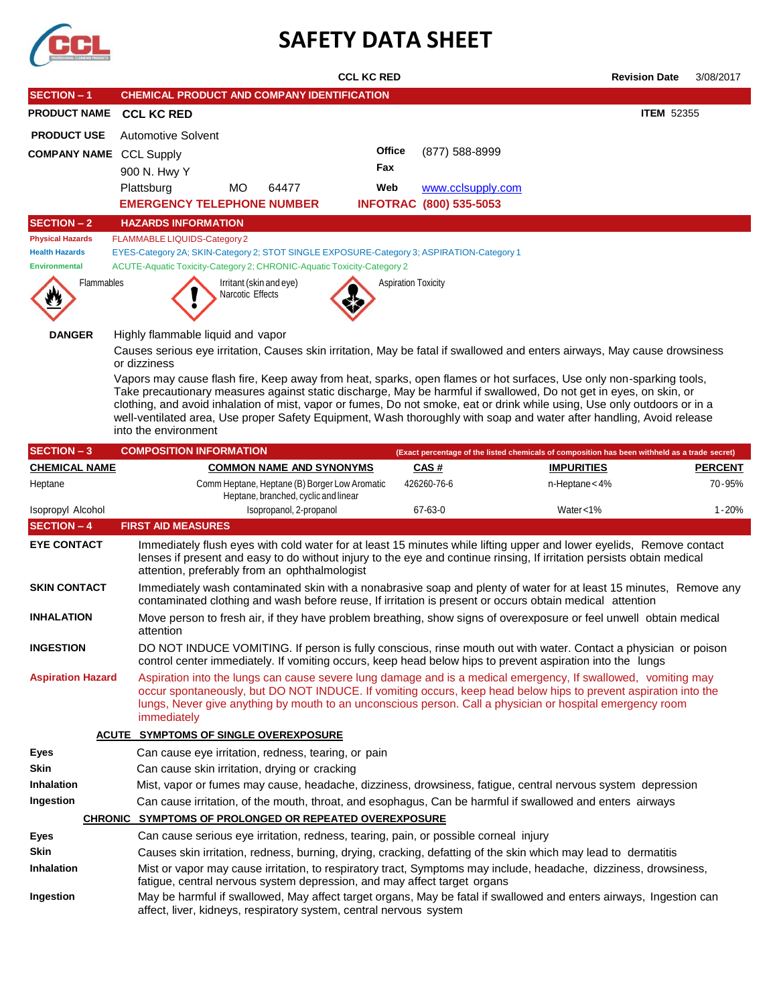

# **SAFETY DATA SHEET**

|                                 |                                                                                                                                                                                                                                                                                                                                                              | <b>CCL KC RED</b>                                                                                              |                                |                   | <b>Revision Date</b>                                                                                                                                                                                                                           | 3/08/2017                |  |  |  |
|---------------------------------|--------------------------------------------------------------------------------------------------------------------------------------------------------------------------------------------------------------------------------------------------------------------------------------------------------------------------------------------------------------|----------------------------------------------------------------------------------------------------------------|--------------------------------|-------------------|------------------------------------------------------------------------------------------------------------------------------------------------------------------------------------------------------------------------------------------------|--------------------------|--|--|--|
| <b>SECTION - 1</b>              |                                                                                                                                                                                                                                                                                                                                                              | <b>CHEMICAL PRODUCT AND COMPANY IDENTIFICATION</b>                                                             |                                |                   |                                                                                                                                                                                                                                                |                          |  |  |  |
| <b>PRODUCT NAME</b>             | <b>CCL KC RED</b>                                                                                                                                                                                                                                                                                                                                            |                                                                                                                |                                |                   | <b>ITEM 52355</b>                                                                                                                                                                                                                              |                          |  |  |  |
| <b>PRODUCT USE</b>              | <b>Automotive Solvent</b>                                                                                                                                                                                                                                                                                                                                    |                                                                                                                |                                |                   |                                                                                                                                                                                                                                                |                          |  |  |  |
| <b>COMPANY NAME</b>             | <b>CCL Supply</b>                                                                                                                                                                                                                                                                                                                                            |                                                                                                                | Office                         | (877) 588-8999    |                                                                                                                                                                                                                                                |                          |  |  |  |
|                                 | 900 N. Hwy Y                                                                                                                                                                                                                                                                                                                                                 |                                                                                                                | Fax                            |                   |                                                                                                                                                                                                                                                |                          |  |  |  |
|                                 | Plattsburg<br>MO                                                                                                                                                                                                                                                                                                                                             | 64477                                                                                                          | Web                            | www.cclsupply.com |                                                                                                                                                                                                                                                |                          |  |  |  |
|                                 | <b>EMERGENCY TELEPHONE NUMBER</b>                                                                                                                                                                                                                                                                                                                            |                                                                                                                | <b>INFOTRAC (800) 535-5053</b> |                   |                                                                                                                                                                                                                                                |                          |  |  |  |
| <b>SECTION - 2</b>              | <b>HAZARDS INFORMATION</b>                                                                                                                                                                                                                                                                                                                                   |                                                                                                                |                                |                   |                                                                                                                                                                                                                                                |                          |  |  |  |
| <b>Physical Hazards</b>         | FLAMMABLE LIQUIDS-Category 2                                                                                                                                                                                                                                                                                                                                 |                                                                                                                |                                |                   |                                                                                                                                                                                                                                                |                          |  |  |  |
| <b>Health Hazards</b>           |                                                                                                                                                                                                                                                                                                                                                              | EYES-Category 2A; SKIN-Category 2; STOT SINGLE EXPOSURE-Category 3; ASPIRATION-Category 1                      |                                |                   |                                                                                                                                                                                                                                                |                          |  |  |  |
| <b>Environmental</b>            |                                                                                                                                                                                                                                                                                                                                                              | ACUTE-Aquatic Toxicity-Category 2; CHRONIC-Aquatic Toxicity-Category 2                                         |                                |                   |                                                                                                                                                                                                                                                |                          |  |  |  |
| Flammables                      |                                                                                                                                                                                                                                                                                                                                                              | Irritant (skin and eye)                                                                                        | <b>Aspiration Toxicity</b>     |                   |                                                                                                                                                                                                                                                |                          |  |  |  |
|                                 |                                                                                                                                                                                                                                                                                                                                                              | Narcotic Effects                                                                                               |                                |                   |                                                                                                                                                                                                                                                |                          |  |  |  |
|                                 |                                                                                                                                                                                                                                                                                                                                                              |                                                                                                                |                                |                   |                                                                                                                                                                                                                                                |                          |  |  |  |
| <b>DANGER</b>                   | Highly flammable liquid and vapor                                                                                                                                                                                                                                                                                                                            |                                                                                                                |                                |                   |                                                                                                                                                                                                                                                |                          |  |  |  |
|                                 | or dizziness                                                                                                                                                                                                                                                                                                                                                 |                                                                                                                |                                |                   | Causes serious eye irritation, Causes skin irritation, May be fatal if swallowed and enters airways, May cause drowsiness                                                                                                                      |                          |  |  |  |
|                                 |                                                                                                                                                                                                                                                                                                                                                              |                                                                                                                |                                |                   | Vapors may cause flash fire, Keep away from heat, sparks, open flames or hot surfaces, Use only non-sparking tools,                                                                                                                            |                          |  |  |  |
|                                 |                                                                                                                                                                                                                                                                                                                                                              |                                                                                                                |                                |                   | Take precautionary measures against static discharge, May be harmful if swallowed, Do not get in eyes, on skin, or                                                                                                                             |                          |  |  |  |
|                                 |                                                                                                                                                                                                                                                                                                                                                              |                                                                                                                |                                |                   | clothing, and avoid inhalation of mist, vapor or fumes, Do not smoke, eat or drink while using, Use only outdoors or in a                                                                                                                      |                          |  |  |  |
|                                 | into the environment                                                                                                                                                                                                                                                                                                                                         |                                                                                                                |                                |                   | well-ventilated area, Use proper Safety Equipment, Wash thoroughly with soap and water after handling, Avoid release                                                                                                                           |                          |  |  |  |
|                                 |                                                                                                                                                                                                                                                                                                                                                              |                                                                                                                |                                |                   |                                                                                                                                                                                                                                                |                          |  |  |  |
| <b>SECTION - 3</b>              | <b>COMPOSITION INFORMATION</b>                                                                                                                                                                                                                                                                                                                               |                                                                                                                |                                |                   | (Exact percentage of the listed chemicals of composition has been withheld as a trade secret)                                                                                                                                                  |                          |  |  |  |
| <b>CHEMICAL NAME</b><br>Heptane |                                                                                                                                                                                                                                                                                                                                                              | <b>COMMON NAME AND SYNONYMS</b><br>Comm Heptane, Heptane (B) Borger Low Aromatic                               | <b>CAS#</b><br>426260-76-6     |                   | <b>IMPURITIES</b><br>$n$ -Heptane < 4%                                                                                                                                                                                                         | <b>PERCENT</b><br>70-95% |  |  |  |
|                                 |                                                                                                                                                                                                                                                                                                                                                              | Heptane, branched, cyclic and linear                                                                           |                                |                   |                                                                                                                                                                                                                                                |                          |  |  |  |
| Isopropyl Alcohol               |                                                                                                                                                                                                                                                                                                                                                              | Isopropanol, 2-propanol                                                                                        | 67-63-0                        |                   | Water<1%                                                                                                                                                                                                                                       | $1 - 20%$                |  |  |  |
| <b>SECTION - 4</b>              | <b>FIRST AID MEASURES</b>                                                                                                                                                                                                                                                                                                                                    |                                                                                                                |                                |                   |                                                                                                                                                                                                                                                |                          |  |  |  |
| <b>EYE CONTACT</b>              |                                                                                                                                                                                                                                                                                                                                                              | attention, preferably from an ophthalmologist                                                                  |                                |                   | Immediately flush eyes with cold water for at least 15 minutes while lifting upper and lower eyelids, Remove contact<br>lenses if present and easy to do without injury to the eye and continue rinsing, If irritation persists obtain medical |                          |  |  |  |
| <b>SKIN CONTACT</b>             |                                                                                                                                                                                                                                                                                                                                                              | contaminated clothing and wash before reuse, If irritation is present or occurs obtain medical attention       |                                |                   | Immediately wash contaminated skin with a nonabrasive soap and plenty of water for at least 15 minutes, Remove any                                                                                                                             |                          |  |  |  |
| <b>INHALATION</b>               | Move person to fresh air, if they have problem breathing, show signs of overexposure or feel unwell obtain medical<br>attention                                                                                                                                                                                                                              |                                                                                                                |                                |                   |                                                                                                                                                                                                                                                |                          |  |  |  |
| <b>INGESTION</b>                |                                                                                                                                                                                                                                                                                                                                                              | control center immediately. If vomiting occurs, keep head below hips to prevent aspiration into the lungs      |                                |                   | DO NOT INDUCE VOMITING. If person is fully conscious, rinse mouth out with water. Contact a physician or poison                                                                                                                                |                          |  |  |  |
| <b>Aspiration Hazard</b>        | Aspiration into the lungs can cause severe lung damage and is a medical emergency, If swallowed, vomiting may<br>occur spontaneously, but DO NOT INDUCE. If vomiting occurs, keep head below hips to prevent aspiration into the<br>lungs, Never give anything by mouth to an unconscious person. Call a physician or hospital emergency room<br>immediately |                                                                                                                |                                |                   |                                                                                                                                                                                                                                                |                          |  |  |  |
|                                 | <b>ACUTE SYMPTOMS OF SINGLE OVEREXPOSURE</b>                                                                                                                                                                                                                                                                                                                 |                                                                                                                |                                |                   |                                                                                                                                                                                                                                                |                          |  |  |  |
| <b>Eyes</b>                     |                                                                                                                                                                                                                                                                                                                                                              | Can cause eye irritation, redness, tearing, or pain                                                            |                                |                   |                                                                                                                                                                                                                                                |                          |  |  |  |
| Skin                            |                                                                                                                                                                                                                                                                                                                                                              | Can cause skin irritation, drying or cracking                                                                  |                                |                   |                                                                                                                                                                                                                                                |                          |  |  |  |
| Inhalation                      |                                                                                                                                                                                                                                                                                                                                                              | Mist, vapor or fumes may cause, headache, dizziness, drowsiness, fatigue, central nervous system depression    |                                |                   |                                                                                                                                                                                                                                                |                          |  |  |  |
| Ingestion                       |                                                                                                                                                                                                                                                                                                                                                              | Can cause irritation, of the mouth, throat, and esophagus, Can be harmful if swallowed and enters airways      |                                |                   |                                                                                                                                                                                                                                                |                          |  |  |  |
|                                 |                                                                                                                                                                                                                                                                                                                                                              | CHRONIC SYMPTOMS OF PROLONGED OR REPEATED OVEREXPOSURE                                                         |                                |                   |                                                                                                                                                                                                                                                |                          |  |  |  |
| Eyes                            |                                                                                                                                                                                                                                                                                                                                                              | Can cause serious eye irritation, redness, tearing, pain, or possible corneal injury                           |                                |                   |                                                                                                                                                                                                                                                |                          |  |  |  |
| Skin                            |                                                                                                                                                                                                                                                                                                                                                              | Causes skin irritation, redness, burning, drying, cracking, defatting of the skin which may lead to dermatitis |                                |                   |                                                                                                                                                                                                                                                |                          |  |  |  |
| <b>Inhalation</b>               |                                                                                                                                                                                                                                                                                                                                                              | fatigue, central nervous system depression, and may affect target organs                                       |                                |                   | Mist or vapor may cause irritation, to respiratory tract, Symptoms may include, headache, dizziness, drowsiness,                                                                                                                               |                          |  |  |  |
| Ingestion                       |                                                                                                                                                                                                                                                                                                                                                              | affect, liver, kidneys, respiratory system, central nervous system                                             |                                |                   | May be harmful if swallowed, May affect target organs, May be fatal if swallowed and enters airways, Ingestion can                                                                                                                             |                          |  |  |  |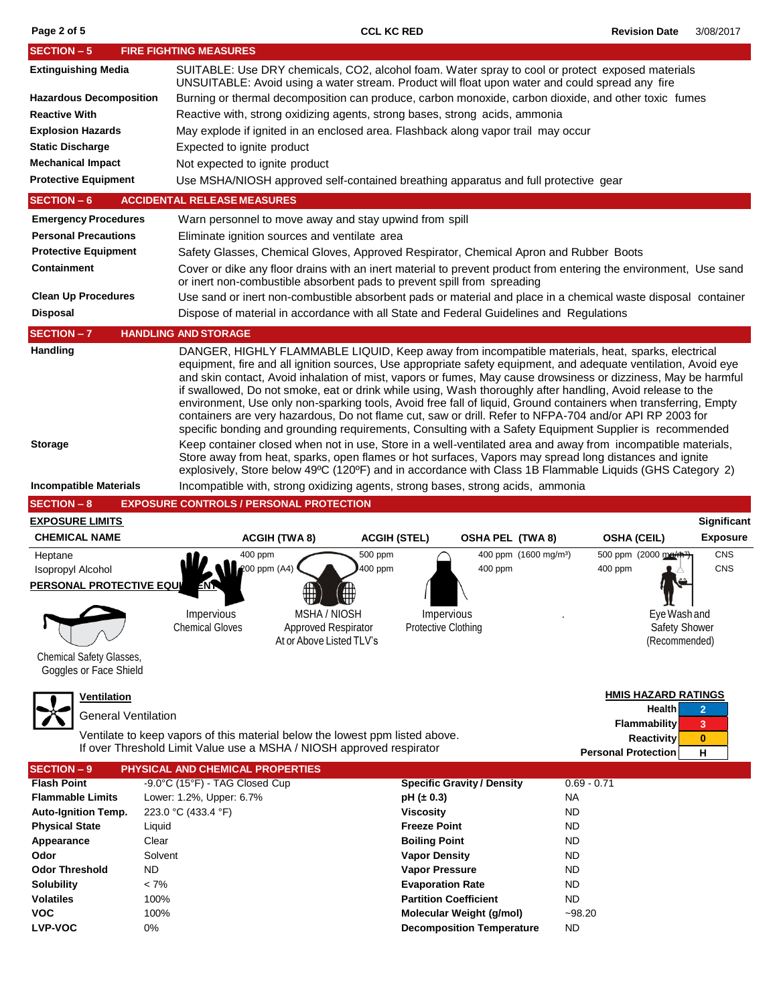| <b>SECTION - 5</b>                                                  | <b>FIRE FIGHTING MEASURES</b>                                                                                                                                                                                                                                                                                                                                                                                                                                                                                                                                                                                                                                                                                                                                                                                                                                                                                                                                                                                          |                                                          |                                                                                                                                                        |  |  |  |  |  |  |
|---------------------------------------------------------------------|------------------------------------------------------------------------------------------------------------------------------------------------------------------------------------------------------------------------------------------------------------------------------------------------------------------------------------------------------------------------------------------------------------------------------------------------------------------------------------------------------------------------------------------------------------------------------------------------------------------------------------------------------------------------------------------------------------------------------------------------------------------------------------------------------------------------------------------------------------------------------------------------------------------------------------------------------------------------------------------------------------------------|----------------------------------------------------------|--------------------------------------------------------------------------------------------------------------------------------------------------------|--|--|--|--|--|--|
| <b>Extinguishing Media</b>                                          | SUITABLE: Use DRY chemicals, CO2, alcohol foam. Water spray to cool or protect exposed materials<br>UNSUITABLE: Avoid using a water stream. Product will float upon water and could spread any fire                                                                                                                                                                                                                                                                                                                                                                                                                                                                                                                                                                                                                                                                                                                                                                                                                    |                                                          |                                                                                                                                                        |  |  |  |  |  |  |
| <b>Hazardous Decomposition</b>                                      | Burning or thermal decomposition can produce, carbon monoxide, carbon dioxide, and other toxic fumes                                                                                                                                                                                                                                                                                                                                                                                                                                                                                                                                                                                                                                                                                                                                                                                                                                                                                                                   |                                                          |                                                                                                                                                        |  |  |  |  |  |  |
| <b>Reactive With</b>                                                | Reactive with, strong oxidizing agents, strong bases, strong acids, ammonia                                                                                                                                                                                                                                                                                                                                                                                                                                                                                                                                                                                                                                                                                                                                                                                                                                                                                                                                            |                                                          |                                                                                                                                                        |  |  |  |  |  |  |
| <b>Explosion Hazards</b>                                            | May explode if ignited in an enclosed area. Flashback along vapor trail may occur                                                                                                                                                                                                                                                                                                                                                                                                                                                                                                                                                                                                                                                                                                                                                                                                                                                                                                                                      |                                                          |                                                                                                                                                        |  |  |  |  |  |  |
| <b>Static Discharge</b>                                             | Expected to ignite product                                                                                                                                                                                                                                                                                                                                                                                                                                                                                                                                                                                                                                                                                                                                                                                                                                                                                                                                                                                             |                                                          |                                                                                                                                                        |  |  |  |  |  |  |
| <b>Mechanical Impact</b>                                            | Not expected to ignite product                                                                                                                                                                                                                                                                                                                                                                                                                                                                                                                                                                                                                                                                                                                                                                                                                                                                                                                                                                                         |                                                          |                                                                                                                                                        |  |  |  |  |  |  |
| <b>Protective Equipment</b>                                         | Use MSHA/NIOSH approved self-contained breathing apparatus and full protective gear                                                                                                                                                                                                                                                                                                                                                                                                                                                                                                                                                                                                                                                                                                                                                                                                                                                                                                                                    |                                                          |                                                                                                                                                        |  |  |  |  |  |  |
| <b>SECTION - 6</b>                                                  | <b>ACCIDENTAL RELEASE MEASURES</b>                                                                                                                                                                                                                                                                                                                                                                                                                                                                                                                                                                                                                                                                                                                                                                                                                                                                                                                                                                                     |                                                          |                                                                                                                                                        |  |  |  |  |  |  |
| <b>Emergency Procedures</b>                                         | Warn personnel to move away and stay upwind from spill                                                                                                                                                                                                                                                                                                                                                                                                                                                                                                                                                                                                                                                                                                                                                                                                                                                                                                                                                                 |                                                          |                                                                                                                                                        |  |  |  |  |  |  |
| <b>Personal Precautions</b>                                         | Eliminate ignition sources and ventilate area                                                                                                                                                                                                                                                                                                                                                                                                                                                                                                                                                                                                                                                                                                                                                                                                                                                                                                                                                                          |                                                          |                                                                                                                                                        |  |  |  |  |  |  |
| <b>Protective Equipment</b>                                         | Safety Glasses, Chemical Gloves, Approved Respirator, Chemical Apron and Rubber Boots                                                                                                                                                                                                                                                                                                                                                                                                                                                                                                                                                                                                                                                                                                                                                                                                                                                                                                                                  |                                                          |                                                                                                                                                        |  |  |  |  |  |  |
| <b>Containment</b>                                                  | Cover or dike any floor drains with an inert material to prevent product from entering the environment, Use sand<br>or inert non-combustible absorbent pads to prevent spill from spreading                                                                                                                                                                                                                                                                                                                                                                                                                                                                                                                                                                                                                                                                                                                                                                                                                            |                                                          |                                                                                                                                                        |  |  |  |  |  |  |
| <b>Clean Up Procedures</b>                                          | Use sand or inert non-combustible absorbent pads or material and place in a chemical waste disposal container                                                                                                                                                                                                                                                                                                                                                                                                                                                                                                                                                                                                                                                                                                                                                                                                                                                                                                          |                                                          |                                                                                                                                                        |  |  |  |  |  |  |
| <b>Disposal</b>                                                     | Dispose of material in accordance with all State and Federal Guidelines and Regulations                                                                                                                                                                                                                                                                                                                                                                                                                                                                                                                                                                                                                                                                                                                                                                                                                                                                                                                                |                                                          |                                                                                                                                                        |  |  |  |  |  |  |
| <b>SECTION-7</b>                                                    | <b>HANDLING AND STORAGE</b>                                                                                                                                                                                                                                                                                                                                                                                                                                                                                                                                                                                                                                                                                                                                                                                                                                                                                                                                                                                            |                                                          |                                                                                                                                                        |  |  |  |  |  |  |
| Handling                                                            |                                                                                                                                                                                                                                                                                                                                                                                                                                                                                                                                                                                                                                                                                                                                                                                                                                                                                                                                                                                                                        |                                                          |                                                                                                                                                        |  |  |  |  |  |  |
| <b>Storage</b>                                                      | DANGER, HIGHLY FLAMMABLE LIQUID, Keep away from incompatible materials, heat, sparks, electrical<br>equipment, fire and all ignition sources, Use appropriate safety equipment, and adequate ventilation, Avoid eye<br>and skin contact, Avoid inhalation of mist, vapors or fumes, May cause drowsiness or dizziness, May be harmful<br>if swallowed, Do not smoke, eat or drink while using, Wash thoroughly after handling, Avoid release to the<br>environment, Use only non-sparking tools, Avoid free fall of liquid, Ground containers when transferring, Empty<br>containers are very hazardous, Do not flame cut, saw or drill. Refer to NFPA-704 and/or API RP 2003 for<br>specific bonding and grounding requirements, Consulting with a Safety Equipment Supplier is recommended<br>Keep container closed when not in use, Store in a well-ventilated area and away from incompatible materials,<br>Store away from heat, sparks, open flames or hot surfaces, Vapors may spread long distances and ignite |                                                          |                                                                                                                                                        |  |  |  |  |  |  |
| <b>Incompatible Materials</b>                                       | explosively, Store below 49°C (120°F) and in accordance with Class 1B Flammable Liquids (GHS Category 2)<br>Incompatible with, strong oxidizing agents, strong bases, strong acids, ammonia                                                                                                                                                                                                                                                                                                                                                                                                                                                                                                                                                                                                                                                                                                                                                                                                                            |                                                          |                                                                                                                                                        |  |  |  |  |  |  |
| <b>SECTION-8</b>                                                    | <b>EXPOSURE CONTROLS / PERSONAL PROTECTION</b>                                                                                                                                                                                                                                                                                                                                                                                                                                                                                                                                                                                                                                                                                                                                                                                                                                                                                                                                                                         |                                                          |                                                                                                                                                        |  |  |  |  |  |  |
|                                                                     |                                                                                                                                                                                                                                                                                                                                                                                                                                                                                                                                                                                                                                                                                                                                                                                                                                                                                                                                                                                                                        |                                                          |                                                                                                                                                        |  |  |  |  |  |  |
|                                                                     |                                                                                                                                                                                                                                                                                                                                                                                                                                                                                                                                                                                                                                                                                                                                                                                                                                                                                                                                                                                                                        |                                                          |                                                                                                                                                        |  |  |  |  |  |  |
| <b>EXPOSURE LIMITS</b><br><b>CHEMICAL NAME</b>                      | <b>ACGIH (TWA 8)</b>                                                                                                                                                                                                                                                                                                                                                                                                                                                                                                                                                                                                                                                                                                                                                                                                                                                                                                                                                                                                   | <b>ACGIH (STEL)</b><br><b>OSHA PEL (TWA 8)</b>           | Significant<br><b>Exposure</b><br><b>OSHA (CEIL)</b>                                                                                                   |  |  |  |  |  |  |
| Heptane                                                             | 400 ppm<br>500 ppm                                                                                                                                                                                                                                                                                                                                                                                                                                                                                                                                                                                                                                                                                                                                                                                                                                                                                                                                                                                                     | 400 ppm (1600 mg/m <sup>3</sup> )                        | 500 ppm (2000 ma/r<br>CNS                                                                                                                              |  |  |  |  |  |  |
| Isopropyl Alcohol                                                   | 200 ppm (A4)<br>400 ppm                                                                                                                                                                                                                                                                                                                                                                                                                                                                                                                                                                                                                                                                                                                                                                                                                                                                                                                                                                                                | 400 ppm                                                  | <b>CNS</b><br>400 ppm                                                                                                                                  |  |  |  |  |  |  |
| <b>PERSONAL PROTECTIVE EQU</b>                                      |                                                                                                                                                                                                                                                                                                                                                                                                                                                                                                                                                                                                                                                                                                                                                                                                                                                                                                                                                                                                                        |                                                          |                                                                                                                                                        |  |  |  |  |  |  |
| <b>Chemical Safety Glasses,</b>                                     | MSHA / NIOSH<br>Impervious<br><b>Chemical Gloves</b><br>Approved Respirator<br>At or Above Listed TLV's                                                                                                                                                                                                                                                                                                                                                                                                                                                                                                                                                                                                                                                                                                                                                                                                                                                                                                                | Impervious<br><b>Protective Clothing</b>                 | Eye Wash and<br>Safety Shower<br>(Recommended)                                                                                                         |  |  |  |  |  |  |
| Goggles or Face Shield<br>Ventilation<br><b>General Ventilation</b> | Ventilate to keep vapors of this material below the lowest ppm listed above.<br>If over Threshold Limit Value use a MSHA / NIOSH approved respirator                                                                                                                                                                                                                                                                                                                                                                                                                                                                                                                                                                                                                                                                                                                                                                                                                                                                   |                                                          | <b>HMIS HAZARD RATINGS</b><br>Health<br>$\overline{2}$<br><b>Flammability</b><br>3<br><b>Reactivity</b><br>$\bf{0}$<br><b>Personal Protection</b><br>н |  |  |  |  |  |  |
| <b>SECTION - 9</b>                                                  | PHYSICAL AND CHEMICAL PROPERTIES                                                                                                                                                                                                                                                                                                                                                                                                                                                                                                                                                                                                                                                                                                                                                                                                                                                                                                                                                                                       |                                                          |                                                                                                                                                        |  |  |  |  |  |  |
| <b>Flash Point</b><br><b>Flammable Limits</b>                       | -9.0°C (15°F) - TAG Closed Cup<br>Lower: 1.2%, Upper: 6.7%                                                                                                                                                                                                                                                                                                                                                                                                                                                                                                                                                                                                                                                                                                                                                                                                                                                                                                                                                             | <b>Specific Gravity / Density</b><br>$pH (\pm 0.3)$      | $0.69 - 0.71$<br><b>NA</b>                                                                                                                             |  |  |  |  |  |  |
| <b>Auto-Ignition Temp.</b>                                          | 223.0 °C (433.4 °F)                                                                                                                                                                                                                                                                                                                                                                                                                                                                                                                                                                                                                                                                                                                                                                                                                                                                                                                                                                                                    | <b>Viscosity</b>                                         | <b>ND</b>                                                                                                                                              |  |  |  |  |  |  |
| <b>Physical State</b>                                               | Liquid                                                                                                                                                                                                                                                                                                                                                                                                                                                                                                                                                                                                                                                                                                                                                                                                                                                                                                                                                                                                                 | <b>Freeze Point</b>                                      | <b>ND</b>                                                                                                                                              |  |  |  |  |  |  |
| Appearance                                                          | Clear                                                                                                                                                                                                                                                                                                                                                                                                                                                                                                                                                                                                                                                                                                                                                                                                                                                                                                                                                                                                                  | <b>Boiling Point</b>                                     | <b>ND</b>                                                                                                                                              |  |  |  |  |  |  |
| Odor                                                                | Solvent                                                                                                                                                                                                                                                                                                                                                                                                                                                                                                                                                                                                                                                                                                                                                                                                                                                                                                                                                                                                                | <b>Vapor Density</b>                                     | <b>ND</b>                                                                                                                                              |  |  |  |  |  |  |
| <b>Odor Threshold</b><br><b>ND</b>                                  |                                                                                                                                                                                                                                                                                                                                                                                                                                                                                                                                                                                                                                                                                                                                                                                                                                                                                                                                                                                                                        | <b>Vapor Pressure</b>                                    | <b>ND</b>                                                                                                                                              |  |  |  |  |  |  |
| <b>Solubility</b>                                                   | $< 7\%$                                                                                                                                                                                                                                                                                                                                                                                                                                                                                                                                                                                                                                                                                                                                                                                                                                                                                                                                                                                                                | <b>Evaporation Rate</b>                                  | <b>ND</b>                                                                                                                                              |  |  |  |  |  |  |
| <b>Volatiles</b><br><b>VOC</b>                                      | 100%<br>100%                                                                                                                                                                                                                                                                                                                                                                                                                                                                                                                                                                                                                                                                                                                                                                                                                                                                                                                                                                                                           | <b>Partition Coefficient</b><br>Molecular Weight (g/mol) | <b>ND</b><br>$-98.20$                                                                                                                                  |  |  |  |  |  |  |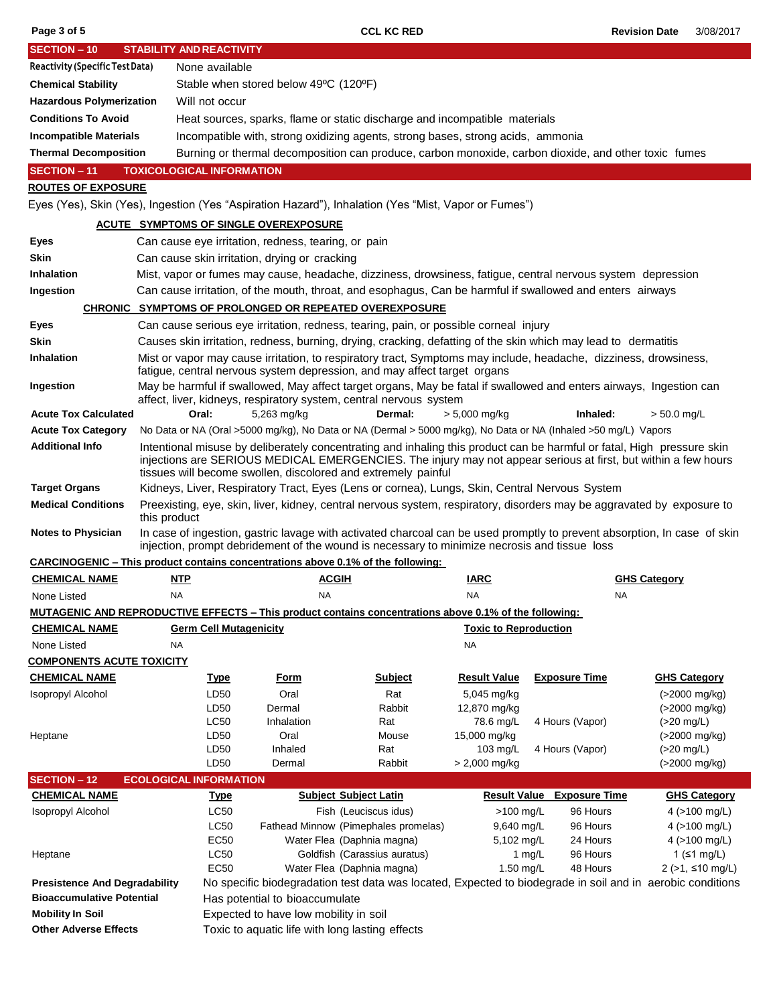| <b>SECTION - 10</b>                                                                                                                                                                                                     | <b>STABILITY AND REACTIVITY</b>                                                                                                                                                                                                                                                                           |                                                                                                                        |                                                 |                                                                                                               |                                          |                                                                                                                          |                           |  |  |
|-------------------------------------------------------------------------------------------------------------------------------------------------------------------------------------------------------------------------|-----------------------------------------------------------------------------------------------------------------------------------------------------------------------------------------------------------------------------------------------------------------------------------------------------------|------------------------------------------------------------------------------------------------------------------------|-------------------------------------------------|---------------------------------------------------------------------------------------------------------------|------------------------------------------|--------------------------------------------------------------------------------------------------------------------------|---------------------------|--|--|
| Reactivity (Specific Test Data)                                                                                                                                                                                         |                                                                                                                                                                                                                                                                                                           | None available                                                                                                         |                                                 |                                                                                                               |                                          |                                                                                                                          |                           |  |  |
| <b>Chemical Stability</b>                                                                                                                                                                                               |                                                                                                                                                                                                                                                                                                           | Stable when stored below 49°C (120°F)                                                                                  |                                                 |                                                                                                               |                                          |                                                                                                                          |                           |  |  |
| <b>Hazardous Polymerization</b>                                                                                                                                                                                         | Will not occur                                                                                                                                                                                                                                                                                            |                                                                                                                        |                                                 |                                                                                                               |                                          |                                                                                                                          |                           |  |  |
| <b>Conditions To Avoid</b>                                                                                                                                                                                              |                                                                                                                                                                                                                                                                                                           |                                                                                                                        |                                                 | Heat sources, sparks, flame or static discharge and incompatible materials                                    |                                          |                                                                                                                          |                           |  |  |
| <b>Incompatible Materials</b>                                                                                                                                                                                           |                                                                                                                                                                                                                                                                                                           |                                                                                                                        |                                                 |                                                                                                               |                                          |                                                                                                                          |                           |  |  |
| Incompatible with, strong oxidizing agents, strong bases, strong acids, ammonia<br><b>Thermal Decomposition</b><br>Burning or thermal decomposition can produce, carbon monoxide, carbon dioxide, and other toxic fumes |                                                                                                                                                                                                                                                                                                           |                                                                                                                        |                                                 |                                                                                                               |                                          |                                                                                                                          |                           |  |  |
| <b>SECTION - 11</b>                                                                                                                                                                                                     | <b>TOXICOLOGICAL INFORMATION</b>                                                                                                                                                                                                                                                                          |                                                                                                                        |                                                 |                                                                                                               |                                          |                                                                                                                          |                           |  |  |
| <b>ROUTES OF EXPOSURE</b>                                                                                                                                                                                               |                                                                                                                                                                                                                                                                                                           |                                                                                                                        |                                                 |                                                                                                               |                                          |                                                                                                                          |                           |  |  |
| Eyes (Yes), Skin (Yes), Ingestion (Yes "Aspiration Hazard"), Inhalation (Yes "Mist, Vapor or Fumes")                                                                                                                    |                                                                                                                                                                                                                                                                                                           |                                                                                                                        |                                                 |                                                                                                               |                                          |                                                                                                                          |                           |  |  |
|                                                                                                                                                                                                                         |                                                                                                                                                                                                                                                                                                           |                                                                                                                        |                                                 |                                                                                                               |                                          |                                                                                                                          |                           |  |  |
| <b>ACUTE SYMPTOMS OF SINGLE OVEREXPOSURE</b><br>Can cause eye irritation, redness, tearing, or pain                                                                                                                     |                                                                                                                                                                                                                                                                                                           |                                                                                                                        |                                                 |                                                                                                               |                                          |                                                                                                                          |                           |  |  |
| Eyes                                                                                                                                                                                                                    |                                                                                                                                                                                                                                                                                                           |                                                                                                                        |                                                 |                                                                                                               |                                          |                                                                                                                          |                           |  |  |
| Skin                                                                                                                                                                                                                    |                                                                                                                                                                                                                                                                                                           |                                                                                                                        | Can cause skin irritation, drying or cracking   |                                                                                                               |                                          |                                                                                                                          |                           |  |  |
| Inhalation                                                                                                                                                                                                              |                                                                                                                                                                                                                                                                                                           |                                                                                                                        |                                                 |                                                                                                               |                                          | Mist, vapor or fumes may cause, headache, dizziness, drowsiness, fatigue, central nervous system depression              |                           |  |  |
| Ingestion                                                                                                                                                                                                               |                                                                                                                                                                                                                                                                                                           |                                                                                                                        |                                                 |                                                                                                               |                                          | Can cause irritation, of the mouth, throat, and esophagus, Can be harmful if swallowed and enters airways                |                           |  |  |
|                                                                                                                                                                                                                         |                                                                                                                                                                                                                                                                                                           |                                                                                                                        |                                                 | <b>CHRONIC SYMPTOMS OF PROLONGED OR REPEATED OVEREXPOSURE</b>                                                 |                                          |                                                                                                                          |                           |  |  |
| Eyes                                                                                                                                                                                                                    |                                                                                                                                                                                                                                                                                                           |                                                                                                                        |                                                 | Can cause serious eye irritation, redness, tearing, pain, or possible corneal injury                          |                                          |                                                                                                                          |                           |  |  |
| <b>Skin</b>                                                                                                                                                                                                             |                                                                                                                                                                                                                                                                                                           |                                                                                                                        |                                                 |                                                                                                               |                                          | Causes skin irritation, redness, burning, drying, cracking, defatting of the skin which may lead to dermatitis           |                           |  |  |
| <b>Inhalation</b>                                                                                                                                                                                                       |                                                                                                                                                                                                                                                                                                           |                                                                                                                        |                                                 | fatigue, central nervous system depression, and may affect target organs                                      |                                          | Mist or vapor may cause irritation, to respiratory tract, Symptoms may include, headache, dizziness, drowsiness,         |                           |  |  |
| Ingestion                                                                                                                                                                                                               |                                                                                                                                                                                                                                                                                                           |                                                                                                                        |                                                 | affect, liver, kidneys, respiratory system, central nervous system                                            |                                          | May be harmful if swallowed, May affect target organs, May be fatal if swallowed and enters airways, Ingestion can       |                           |  |  |
| <b>Acute Tox Calculated</b>                                                                                                                                                                                             |                                                                                                                                                                                                                                                                                                           | Oral:                                                                                                                  | 5,263 mg/kg                                     | Dermal:                                                                                                       | $> 5,000$ mg/kg                          | Inhaled:                                                                                                                 | $> 50.0$ mg/L             |  |  |
| <b>Acute Tox Category</b>                                                                                                                                                                                               |                                                                                                                                                                                                                                                                                                           |                                                                                                                        |                                                 |                                                                                                               |                                          | No Data or NA (Oral >5000 mg/kg), No Data or NA (Dermal > 5000 mg/kg), No Data or NA (Inhaled >50 mg/L) Vapors           |                           |  |  |
| <b>Additional Info</b>                                                                                                                                                                                                  | Intentional misuse by deliberately concentrating and inhaling this product can be harmful or fatal, High pressure skin<br>injections are SERIOUS MEDICAL EMERGENCIES. The injury may not appear serious at first, but within a few hours<br>tissues will become swollen, discolored and extremely painful |                                                                                                                        |                                                 |                                                                                                               |                                          |                                                                                                                          |                           |  |  |
| <b>Target Organs</b>                                                                                                                                                                                                    |                                                                                                                                                                                                                                                                                                           | Kidneys, Liver, Respiratory Tract, Eyes (Lens or cornea), Lungs, Skin, Central Nervous System                          |                                                 |                                                                                                               |                                          |                                                                                                                          |                           |  |  |
| <b>Medical Conditions</b>                                                                                                                                                                                               | this product                                                                                                                                                                                                                                                                                              | Preexisting, eye, skin, liver, kidney, central nervous system, respiratory, disorders may be aggravated by exposure to |                                                 |                                                                                                               |                                          |                                                                                                                          |                           |  |  |
| <b>Notes to Physician</b>                                                                                                                                                                                               |                                                                                                                                                                                                                                                                                                           |                                                                                                                        |                                                 | injection, prompt debridement of the wound is necessary to minimize necrosis and tissue loss                  |                                          | In case of ingestion, gastric lavage with activated charcoal can be used promptly to prevent absorption, In case of skin |                           |  |  |
| <b>CARCINOGENIC – This product contains concentrations above 0.1% of the following:</b>                                                                                                                                 |                                                                                                                                                                                                                                                                                                           |                                                                                                                        |                                                 |                                                                                                               |                                          |                                                                                                                          |                           |  |  |
| <b>CHEMICAL NAME</b>                                                                                                                                                                                                    | <b>NTP</b>                                                                                                                                                                                                                                                                                                |                                                                                                                        | <b>ACGIH</b>                                    |                                                                                                               | IARC                                     | <b>GHS Category</b>                                                                                                      |                           |  |  |
| None Listed                                                                                                                                                                                                             | NA                                                                                                                                                                                                                                                                                                        |                                                                                                                        | NA                                              |                                                                                                               | NA                                       | NA                                                                                                                       |                           |  |  |
|                                                                                                                                                                                                                         |                                                                                                                                                                                                                                                                                                           |                                                                                                                        |                                                 | <b>MUTAGENIC AND REPRODUCTIVE EFFECTS - This product contains concentrations above 0.1% of the following:</b> |                                          |                                                                                                                          |                           |  |  |
| <b>CHEMICAL NAME</b>                                                                                                                                                                                                    |                                                                                                                                                                                                                                                                                                           | <b>Germ Cell Mutagenicity</b>                                                                                          |                                                 |                                                                                                               | <b>Toxic to Reproduction</b>             |                                                                                                                          |                           |  |  |
| None Listed                                                                                                                                                                                                             | NA                                                                                                                                                                                                                                                                                                        |                                                                                                                        |                                                 |                                                                                                               | <b>NA</b>                                |                                                                                                                          |                           |  |  |
| <b>COMPONENTS ACUTE TOXICITY</b>                                                                                                                                                                                        |                                                                                                                                                                                                                                                                                                           |                                                                                                                        |                                                 |                                                                                                               |                                          |                                                                                                                          |                           |  |  |
| <b>CHEMICAL NAME</b>                                                                                                                                                                                                    |                                                                                                                                                                                                                                                                                                           | <b>Type</b>                                                                                                            | <u>Form</u>                                     | <b>Subject</b>                                                                                                | <b>Result Value</b>                      | <b>Exposure Time</b>                                                                                                     | <b>GHS Category</b>       |  |  |
| Isopropyl Alcohol                                                                                                                                                                                                       |                                                                                                                                                                                                                                                                                                           | LD50                                                                                                                   | Oral                                            | Rat                                                                                                           | 5,045 mg/kg                              |                                                                                                                          | $( > 2000 \text{ mg/kg})$ |  |  |
|                                                                                                                                                                                                                         |                                                                                                                                                                                                                                                                                                           | LD50                                                                                                                   | Dermal                                          | Rabbit                                                                                                        | 12,870 mg/kg                             |                                                                                                                          | (>2000 mg/kg)             |  |  |
|                                                                                                                                                                                                                         |                                                                                                                                                                                                                                                                                                           | <b>LC50</b>                                                                                                            | Inhalation                                      | Rat                                                                                                           | 78.6 mg/L                                | 4 Hours (Vapor)                                                                                                          | $(>20$ mg/L)              |  |  |
| Heptane                                                                                                                                                                                                                 |                                                                                                                                                                                                                                                                                                           | LD <sub>50</sub>                                                                                                       | Oral                                            | Mouse                                                                                                         | 15,000 mg/kg                             |                                                                                                                          | (>2000 mg/kg)             |  |  |
|                                                                                                                                                                                                                         |                                                                                                                                                                                                                                                                                                           | LD50<br>LD50                                                                                                           | Inhaled<br>Dermal                               | Rat<br>Rabbit                                                                                                 | 103 mg/L<br>$> 2,000$ mg/kg              | 4 Hours (Vapor)                                                                                                          | $(>20$ mg/L)              |  |  |
| <b>SECTION - 12</b>                                                                                                                                                                                                     | <b>ECOLOGICAL INFORMATION</b>                                                                                                                                                                                                                                                                             |                                                                                                                        |                                                 |                                                                                                               |                                          |                                                                                                                          | (>2000 mg/kg)             |  |  |
| <b>CHEMICAL NAME</b>                                                                                                                                                                                                    |                                                                                                                                                                                                                                                                                                           | <b>Type</b>                                                                                                            |                                                 | <b>Subject Subject Latin</b>                                                                                  | <b>Result Value</b>                      | <b>Exposure Time</b>                                                                                                     | <b>GHS Category</b>       |  |  |
| Isopropyl Alcohol                                                                                                                                                                                                       |                                                                                                                                                                                                                                                                                                           | LC50                                                                                                                   |                                                 | Fish (Leuciscus idus)                                                                                         | $>100$ mg/L                              | 96 Hours                                                                                                                 | 4 ( $>100$ mg/L)          |  |  |
|                                                                                                                                                                                                                         |                                                                                                                                                                                                                                                                                                           | LC50                                                                                                                   |                                                 | Fathead Minnow (Pimephales promelas)                                                                          | 9,640 mg/L                               | 96 Hours                                                                                                                 | 4 ( $>100$ mg/L)          |  |  |
|                                                                                                                                                                                                                         |                                                                                                                                                                                                                                                                                                           | <b>EC50</b>                                                                                                            |                                                 | Water Flea (Daphnia magna)                                                                                    | 5,102 mg/L                               | 24 Hours                                                                                                                 | 4 (>100 mg/L)             |  |  |
| Heptane                                                                                                                                                                                                                 |                                                                                                                                                                                                                                                                                                           | <b>LC50</b>                                                                                                            |                                                 | Goldfish (Carassius auratus)                                                                                  | 96 Hours<br>1 ( $\leq 1$ mg/L)<br>1 mg/L |                                                                                                                          |                           |  |  |
|                                                                                                                                                                                                                         |                                                                                                                                                                                                                                                                                                           | <b>EC50</b>                                                                                                            |                                                 | Water Flea (Daphnia magna)                                                                                    | 1.50 mg/L                                | 48 Hours                                                                                                                 | $2$ (>1, ≤10 mg/L)        |  |  |
| <b>Presistence And Degradability</b>                                                                                                                                                                                    |                                                                                                                                                                                                                                                                                                           |                                                                                                                        |                                                 |                                                                                                               |                                          | No specific biodegradation test data was located, Expected to biodegrade in soil and in aerobic conditions               |                           |  |  |
| <b>Bioaccumulative Potential</b>                                                                                                                                                                                        |                                                                                                                                                                                                                                                                                                           | Has potential to bioaccumulate                                                                                         |                                                 |                                                                                                               |                                          |                                                                                                                          |                           |  |  |
| <b>Mobility In Soil</b>                                                                                                                                                                                                 |                                                                                                                                                                                                                                                                                                           |                                                                                                                        | Expected to have low mobility in soil           |                                                                                                               |                                          |                                                                                                                          |                           |  |  |
| <b>Other Adverse Effects</b>                                                                                                                                                                                            |                                                                                                                                                                                                                                                                                                           |                                                                                                                        | Toxic to aquatic life with long lasting effects |                                                                                                               |                                          |                                                                                                                          |                           |  |  |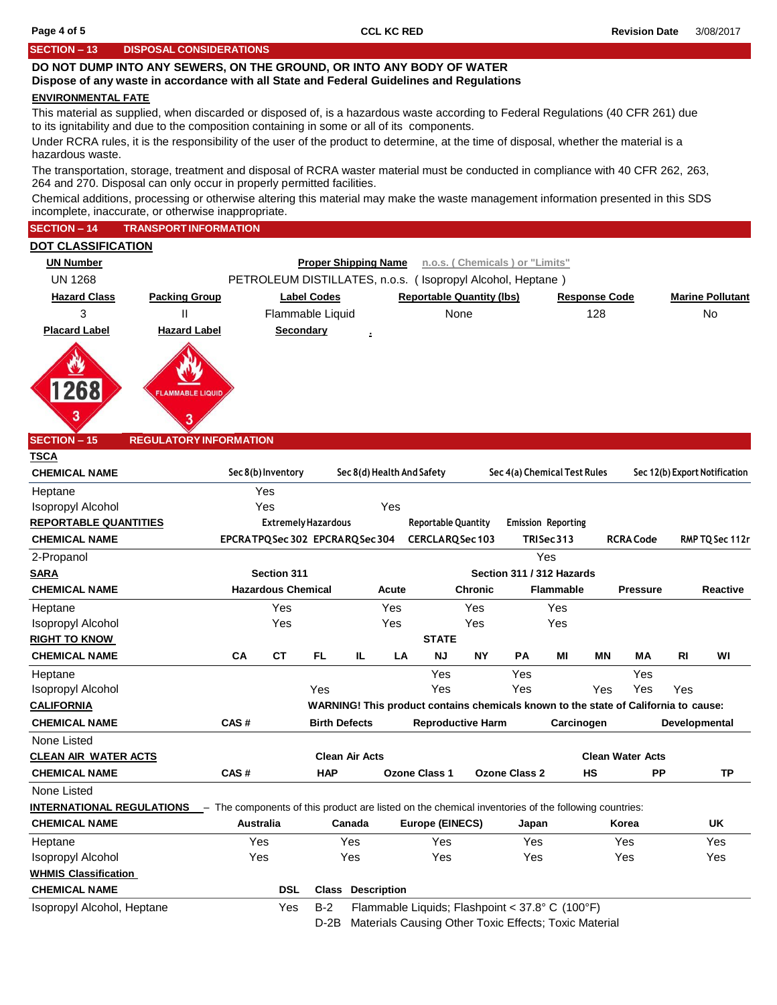#### **SECTION – 13 DISPOSAL CONSIDERATIONS**

## **DO NOT DUMP INTO ANY SEWERS, ON THE GROUND, OR INTO ANY BODY OF WATER**

#### **Dispose of any waste in accordance with all State and Federal Guidelines and Regulations**

#### **ENVIRONMENTAL FATE**

This material as supplied, when discarded or disposed of, is a hazardous waste according to Federal Regulations (40 CFR 261) due to its ignitability and due to the composition containing in some or all of its components.

Under RCRA rules, it is the responsibility of the user of the product to determine, at the time of disposal, whether the material is a hazardous waste.

The transportation, storage, treatment and disposal of RCRA waster material must be conducted in compliance with 40 CFR 262, 263, 264 and 270. Disposal can only occur in properly permitted facilities.

Chemical additions, processing or otherwise altering this material may make the waste management information presented in this SDS incomplete, inaccurate, or otherwise inappropriate.

#### **SECTION – 14 TRANSPORT INFORMATION**

| <b>DOT CLASSIFICATION</b> |                                      |                             |                                                            |                      |                         |
|---------------------------|--------------------------------------|-----------------------------|------------------------------------------------------------|----------------------|-------------------------|
| <b>UN Number</b>          |                                      | <b>Proper Shipping Name</b> | n.o.s. (Chemicals) or "Limits"                             |                      |                         |
| <b>UN 1268</b>            |                                      |                             | PETROLEUM DISTILLATES, n.o.s. (Isopropyl Alcohol, Heptane) |                      |                         |
| <b>Hazard Class</b>       | <b>Packing Group</b>                 | <b>Label Codes</b>          | <b>Reportable Quantity (lbs)</b>                           | <b>Response Code</b> | <b>Marine Pollutant</b> |
| 3                         |                                      | Flammable Liquid            | None                                                       | 128                  | <b>No</b>               |
| <b>Placard Label</b>      | <b>Hazard Label</b>                  | Secondary                   | $\blacksquare$<br><b>110</b>                               |                      |                         |
| з                         | <b>FLAMMABLE LIQUID</b><br>$\bullet$ |                             |                                                            |                      |                         |

### **SECTION – 15 REGULATORY INFORMATION**

| <b>TSCA</b>                                                                                                                          |                              |                            |                                                                              |                          |                       |                                                                                     |                |                              |                           |                 |                         |                 |                               |
|--------------------------------------------------------------------------------------------------------------------------------------|------------------------------|----------------------------|------------------------------------------------------------------------------|--------------------------|-----------------------|-------------------------------------------------------------------------------------|----------------|------------------------------|---------------------------|-----------------|-------------------------|-----------------|-------------------------------|
| <b>CHEMICAL NAME</b>                                                                                                                 |                              | Sec 8(b) Inventory         |                                                                              |                          |                       | Sec 8(d) Health And Safety                                                          |                | Sec 4(a) Chemical Test Rules |                           |                 |                         |                 | Sec 12(b) Export Notification |
| Heptane                                                                                                                              |                              | Yes                        |                                                                              |                          |                       |                                                                                     |                |                              |                           |                 |                         |                 |                               |
| <b>Isopropyl Alcohol</b>                                                                                                             |                              | Yes                        |                                                                              |                          | Yes                   |                                                                                     |                |                              |                           |                 |                         |                 |                               |
| <b>REPORTABLE QUANTITIES</b>                                                                                                         |                              | <b>Extremely Hazardous</b> |                                                                              |                          |                       | <b>Reportable Quantity</b>                                                          |                |                              | <b>Emission Reporting</b> |                 |                         |                 |                               |
| <b>CHEMICAL NAME</b>                                                                                                                 | EPCRATPQSec302 EPCRARQSec304 |                            |                                                                              |                          | <b>CERCLARQSec103</b> |                                                                                     | TRISec 313     |                              |                           | <b>RCRACode</b> |                         | RMP TQ Sec 112r |                               |
| 2-Propanol                                                                                                                           |                              |                            |                                                                              |                          |                       |                                                                                     |                |                              | Yes                       |                 |                         |                 |                               |
| <b>SARA</b>                                                                                                                          |                              | Section 311                |                                                                              |                          |                       |                                                                                     |                | Section 311 / 312 Hazards    |                           |                 |                         |                 |                               |
| <b>CHEMICAL NAME</b>                                                                                                                 |                              | <b>Hazardous Chemical</b>  |                                                                              |                          | Acute                 |                                                                                     | <b>Chronic</b> |                              | <b>Flammable</b>          |                 | <b>Pressure</b>         |                 | <b>Reactive</b>               |
| Heptane                                                                                                                              |                              | Yes                        |                                                                              |                          | Yes                   |                                                                                     | Yes            |                              | Yes                       |                 |                         |                 |                               |
| <b>Isopropyl Alcohol</b>                                                                                                             |                              | Yes                        |                                                                              |                          | Yes                   |                                                                                     | Yes            |                              | Yes                       |                 |                         |                 |                               |
| <b>RIGHT TO KNOW</b>                                                                                                                 |                              |                            |                                                                              |                          |                       | <b>STATE</b>                                                                        |                |                              |                           |                 |                         |                 |                               |
| <b>CHEMICAL NAME</b>                                                                                                                 | CA                           | <b>CT</b>                  | FL.                                                                          | IL.                      | LA                    | <b>NJ</b>                                                                           | <b>NY</b>      | <b>PA</b>                    | МI                        | <b>MN</b>       | MA                      | R <sub>l</sub>  | WI                            |
| Heptane                                                                                                                              |                              |                            |                                                                              |                          |                       | Yes                                                                                 |                | Yes                          |                           |                 | Yes                     |                 |                               |
| <b>Isopropyl Alcohol</b>                                                                                                             |                              |                            | Yes                                                                          |                          |                       | Yes                                                                                 |                | Yes                          |                           | Yes             | Yes                     | Yes             |                               |
| <b>CALIFORNIA</b>                                                                                                                    |                              |                            |                                                                              |                          |                       | WARNING! This product contains chemicals known to the state of California to cause: |                |                              |                           |                 |                         |                 |                               |
| <b>CHEMICAL NAME</b>                                                                                                                 | CAS#                         |                            | <b>Birth Defects</b><br><b>Reproductive Harm</b>                             |                          |                       |                                                                                     | Carcinogen     |                              |                           |                 | Developmental           |                 |                               |
| None Listed                                                                                                                          |                              |                            |                                                                              |                          |                       |                                                                                     |                |                              |                           |                 |                         |                 |                               |
| <b>CLEAN AIR WATER ACTS</b>                                                                                                          |                              |                            |                                                                              | <b>Clean Air Acts</b>    |                       |                                                                                     |                |                              |                           |                 | <b>Clean Water Acts</b> |                 |                               |
| <b>CHEMICAL NAME</b>                                                                                                                 | CAS#                         |                            | <b>HAP</b>                                                                   |                          |                       | <b>Ozone Class 1</b>                                                                |                | <b>Ozone Class 2</b>         |                           | <b>HS</b>       | <b>PP</b>               |                 | <b>TP</b>                     |
| None Listed                                                                                                                          |                              |                            |                                                                              |                          |                       |                                                                                     |                |                              |                           |                 |                         |                 |                               |
| <b>INTERNATIONAL REGULATIONS</b> - The components of this product are listed on the chemical inventories of the following countries: |                              |                            |                                                                              |                          |                       |                                                                                     |                |                              |                           |                 |                         |                 |                               |
| <b>CHEMICAL NAME</b>                                                                                                                 | <b>Australia</b>             |                            |                                                                              | Canada                   |                       | Europe (EINECS)                                                                     |                | Japan                        |                           |                 | Korea                   |                 | <b>UK</b>                     |
| Heptane                                                                                                                              | Yes                          |                            | Yes                                                                          |                          |                       | Yes                                                                                 |                | Yes                          |                           |                 | Yes                     |                 | Yes                           |
| <b>Isopropyl Alcohol</b>                                                                                                             | Yes                          |                            |                                                                              | Yes                      |                       | Yes                                                                                 |                | Yes                          |                           |                 | Yes                     |                 | Yes                           |
| <b>WHMIS Classification</b>                                                                                                          |                              |                            |                                                                              |                          |                       |                                                                                     |                |                              |                           |                 |                         |                 |                               |
| <b>CHEMICAL NAME</b>                                                                                                                 |                              | <b>DSL</b>                 |                                                                              | <b>Class Description</b> |                       |                                                                                     |                |                              |                           |                 |                         |                 |                               |
| Isopropyl Alcohol, Heptane                                                                                                           |                              | Yes                        | $B-2$<br>Flammable Liquids; Flashpoint < $37.8^{\circ}$ C (100 $^{\circ}$ F) |                          |                       |                                                                                     |                |                              |                           |                 |                         |                 |                               |
|                                                                                                                                      |                              |                            | D-2B                                                                         |                          |                       | Materials Causing Other Toxic Effects; Toxic Material                               |                |                              |                           |                 |                         |                 |                               |